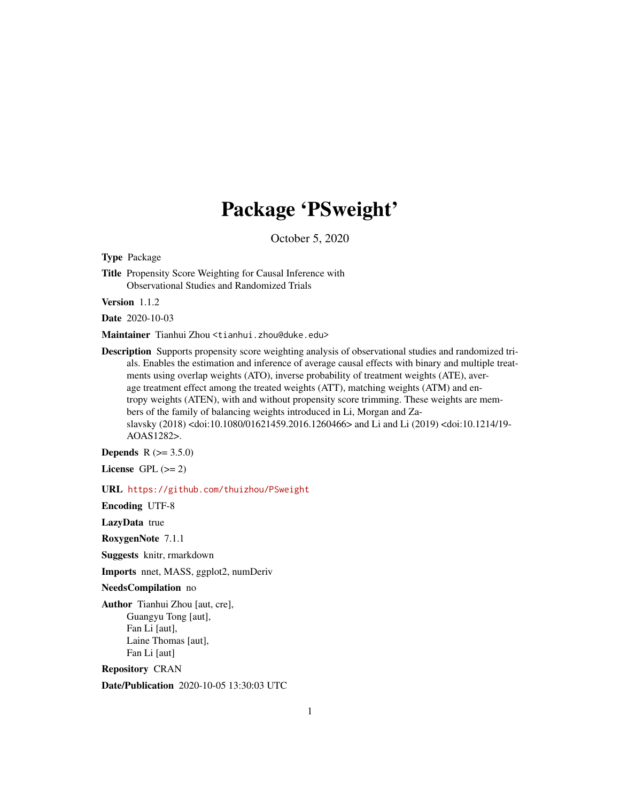# Package 'PSweight'

October 5, 2020

<span id="page-0-0"></span>Type Package

Title Propensity Score Weighting for Causal Inference with Observational Studies and Randomized Trials

Version 1.1.2

Date 2020-10-03

Maintainer Tianhui Zhou <tianhui.zhou@duke.edu>

Description Supports propensity score weighting analysis of observational studies and randomized trials. Enables the estimation and inference of average causal effects with binary and multiple treatments using overlap weights (ATO), inverse probability of treatment weights (ATE), average treatment effect among the treated weights (ATT), matching weights (ATM) and entropy weights (ATEN), with and without propensity score trimming. These weights are members of the family of balancing weights introduced in Li, Morgan and Zaslavsky (2018) <doi:10.1080/01621459.2016.1260466> and Li and Li (2019) <doi:10.1214/19- AOAS1282>.

**Depends**  $R (= 3.5.0)$ 

License GPL  $(>= 2)$ 

URL <https://github.com/thuizhou/PSweight>

Encoding UTF-8

LazyData true

RoxygenNote 7.1.1

Suggests knitr, rmarkdown

Imports nnet, MASS, ggplot2, numDeriv

NeedsCompilation no

Author Tianhui Zhou [aut, cre], Guangyu Tong [aut], Fan Li [aut], Laine Thomas [aut], Fan Li [aut]

Repository CRAN

Date/Publication 2020-10-05 13:30:03 UTC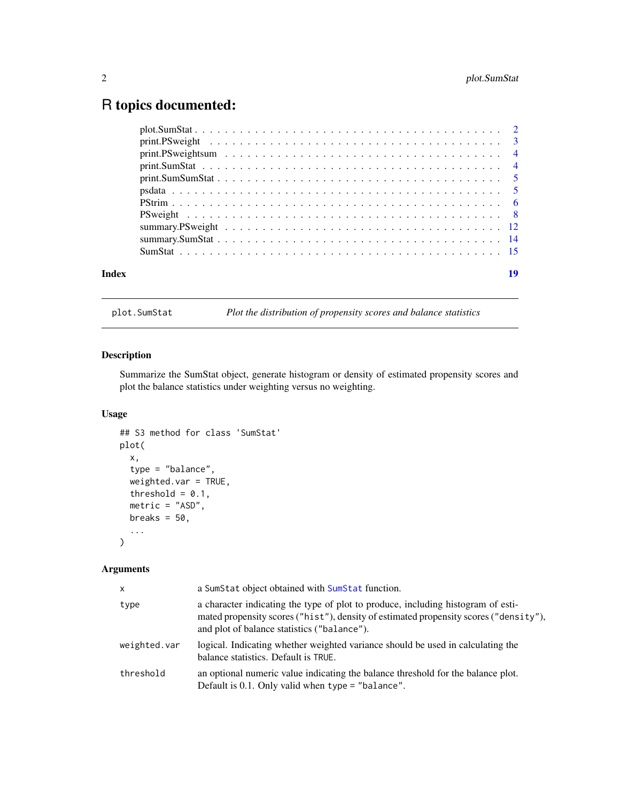## <span id="page-1-0"></span>R topics documented:

| Index | 19 |
|-------|----|
|       |    |
|       |    |
|       |    |
|       |    |
|       |    |
|       |    |
|       |    |
|       |    |
|       |    |
|       |    |
|       |    |

plot.SumStat *Plot the distribution of propensity scores and balance statistics*

#### Description

Summarize the SumStat object, generate histogram or density of estimated propensity scores and plot the balance statistics under weighting versus no weighting.

#### Usage

```
## S3 method for class 'SumStat'
plot(
 x,
  type = "balance",
 weighted.var = TRUE,
  threshold = 0.1,
 metric = "ASD",breaks = 50,
  ...
)
```

| x            | a SumStat object obtained with SumStat function.                                                                                                                                                                         |
|--------------|--------------------------------------------------------------------------------------------------------------------------------------------------------------------------------------------------------------------------|
| type         | a character indicating the type of plot to produce, including histogram of esti-<br>mated propensity scores ("hist"), density of estimated propensity scores ("density"),<br>and plot of balance statistics ("balance"). |
| weighted.var | logical. Indicating whether weighted variance should be used in calculating the<br>balance statistics. Default is TRUE.                                                                                                  |
| threshold    | an optional numeric value indicating the balance threshold for the balance plot.<br>Default is $0.1$ . Only valid when type = "balance".                                                                                 |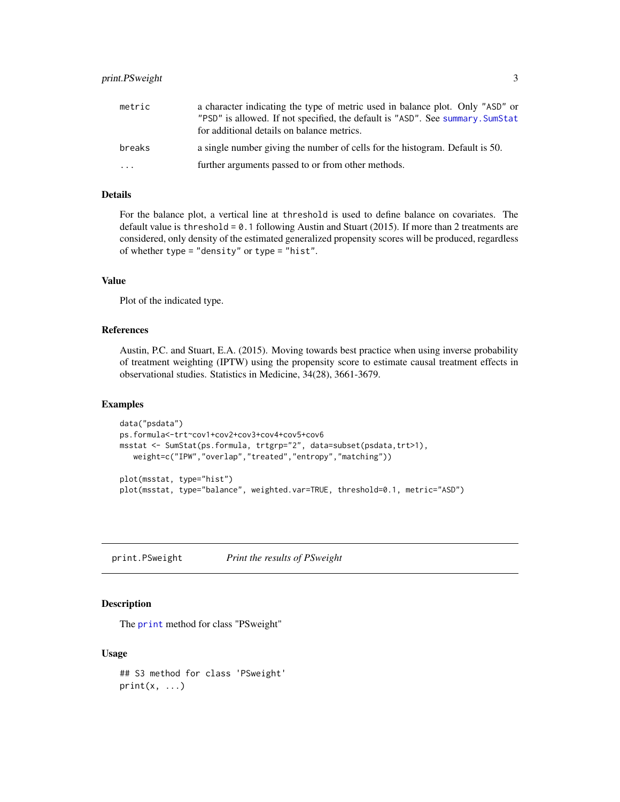#### <span id="page-2-0"></span>print.PSweight 3

| metric   | a character indicating the type of metric used in balance plot. Only "ASD" or<br>"PSD" is allowed. If not specified, the default is "ASD". See summary. SumStat<br>for additional details on balance metrics. |
|----------|---------------------------------------------------------------------------------------------------------------------------------------------------------------------------------------------------------------|
| breaks   | a single number giving the number of cells for the histogram. Default is 50.                                                                                                                                  |
| $\cdots$ | further arguments passed to or from other methods.                                                                                                                                                            |

#### Details

For the balance plot, a vertical line at threshold is used to define balance on covariates. The default value is threshold =  $0.1$  following Austin and Stuart (2015). If more than 2 treatments are considered, only density of the estimated generalized propensity scores will be produced, regardless of whether type = "density" or type = "hist".

#### Value

Plot of the indicated type.

#### References

Austin, P.C. and Stuart, E.A. (2015). Moving towards best practice when using inverse probability of treatment weighting (IPTW) using the propensity score to estimate causal treatment effects in observational studies. Statistics in Medicine, 34(28), 3661-3679.

#### Examples

```
data("psdata")
ps.formula<-trt~cov1+cov2+cov3+cov4+cov5+cov6
msstat <- SumStat(ps.formula, trtgrp="2", data=subset(psdata,trt>1),
  weight=c("IPW","overlap","treated","entropy","matching"))
plot(msstat, type="hist")
plot(msstat, type="balance", weighted.var=TRUE, threshold=0.1, metric="ASD")
```
print.PSweight *Print the results of PSweight*

#### Description

The [print](#page-0-0) method for class "PSweight"

#### Usage

```
## S3 method for class 'PSweight'
print(x, \ldots)
```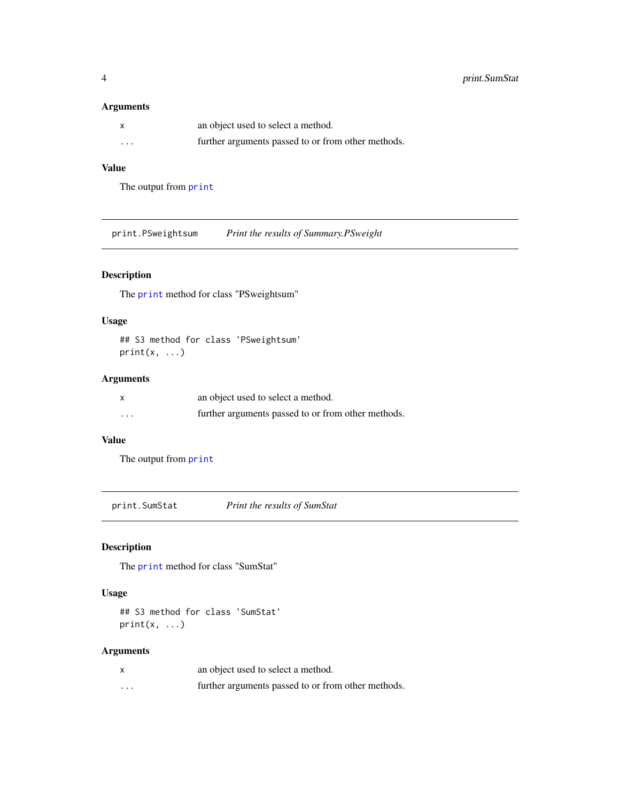#### <span id="page-3-0"></span>Arguments

| X                       | an object used to select a method.                 |
|-------------------------|----------------------------------------------------|
| $\cdot$ $\cdot$ $\cdot$ | further arguments passed to or from other methods. |

#### Value

The output from [print](#page-0-0)

print.PSweightsum *Print the results of Summary.PSweight*

#### Description

The [print](#page-0-0) method for class "PSweightsum"

#### Usage

## S3 method for class 'PSweightsum' print(x, ...)

#### Arguments

|                         | an object used to select a method.                 |
|-------------------------|----------------------------------------------------|
| $\cdot$ $\cdot$ $\cdot$ | further arguments passed to or from other methods. |

#### Value

The output from [print](#page-0-0)

print.SumStat *Print the results of SumStat*

#### Description

The [print](#page-0-0) method for class "SumStat"

#### Usage

## S3 method for class 'SumStat'  $print(x, \ldots)$ 

|         | an object used to select a method.                 |
|---------|----------------------------------------------------|
| $\cdot$ | further arguments passed to or from other methods. |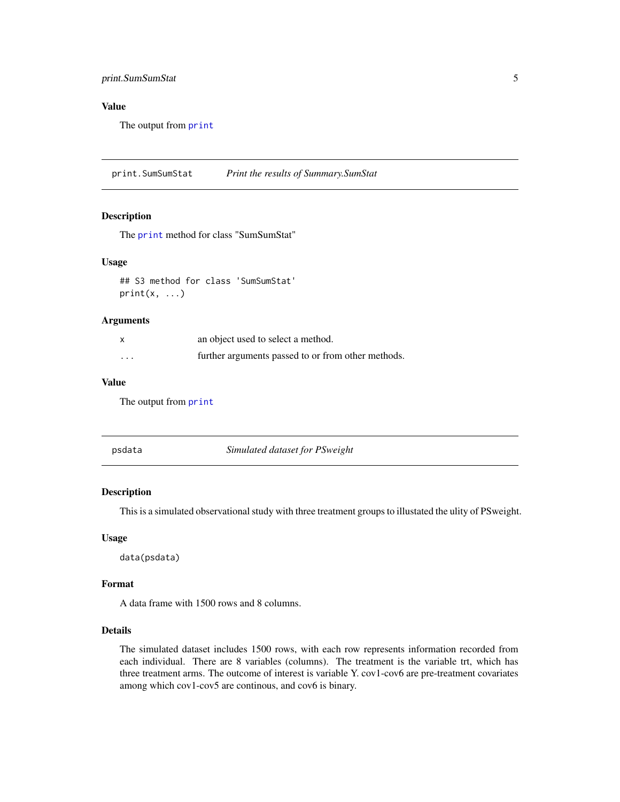#### <span id="page-4-0"></span>print.SumSumStat 5

#### Value

The output from [print](#page-0-0)

print.SumSumStat *Print the results of Summary.SumStat*

#### Description

The [print](#page-0-0) method for class "SumSumStat"

#### Usage

## S3 method for class 'SumSumStat'  $print(x, \ldots)$ 

#### Arguments

| $\times$ | an object used to select a method.                 |
|----------|----------------------------------------------------|
| $\cdots$ | further arguments passed to or from other methods. |

#### Value

The output from [print](#page-0-0)

psdata *Simulated dataset for PSweight*

#### Description

This is a simulated observational study with three treatment groups to illustated the ulity of PSweight.

#### Usage

data(psdata)

#### Format

A data frame with 1500 rows and 8 columns.

#### Details

The simulated dataset includes 1500 rows, with each row represents information recorded from each individual. There are 8 variables (columns). The treatment is the variable trt, which has three treatment arms. The outcome of interest is variable Y. cov1-cov6 are pre-treatment covariates among which cov1-cov5 are continous, and cov6 is binary.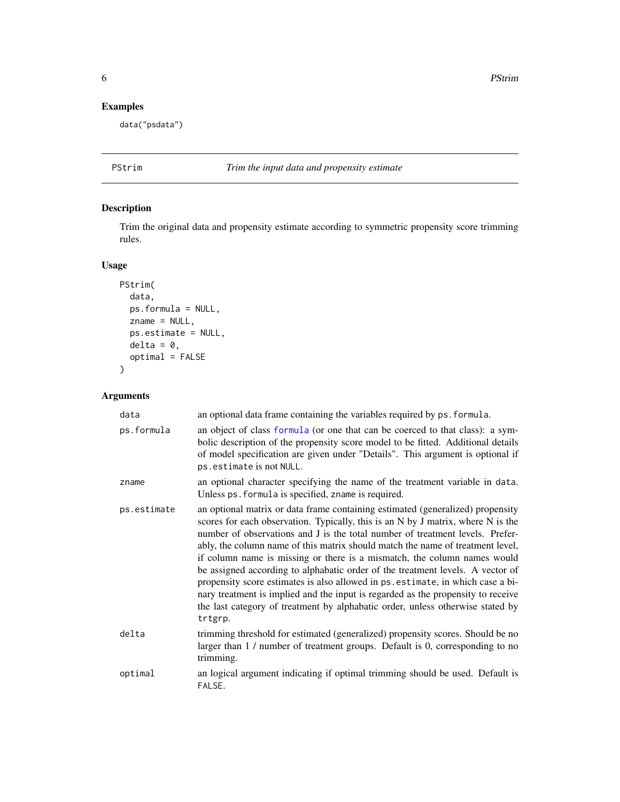#### <span id="page-5-0"></span>Examples

data("psdata")

### PStrim *Trim the input data and propensity estimate*

#### Description

Trim the original data and propensity estimate according to symmetric propensity score trimming rules.

#### Usage

```
PStrim(
 data,
 ps.formula = NULL,
 zname = NULL,
 ps.estimate = NULL,
 delta = 0,
 optimal = FALSE
```
#### Arguments

 $\mathcal{L}$ 

| data        | an optional data frame containing the variables required by ps. formula.                                                                                                                                                                                                                                                                                                                                                                                                                                                                                                                                                                                                                                                                                                |
|-------------|-------------------------------------------------------------------------------------------------------------------------------------------------------------------------------------------------------------------------------------------------------------------------------------------------------------------------------------------------------------------------------------------------------------------------------------------------------------------------------------------------------------------------------------------------------------------------------------------------------------------------------------------------------------------------------------------------------------------------------------------------------------------------|
| ps.formula  | an object of class formula (or one that can be coerced to that class): a sym-<br>bolic description of the propensity score model to be fitted. Additional details<br>of model specification are given under "Details". This argument is optional if<br>ps.estimate is not NULL.                                                                                                                                                                                                                                                                                                                                                                                                                                                                                         |
| zname       | an optional character specifying the name of the treatment variable in data.<br>Unless ps. formula is specified, zname is required.                                                                                                                                                                                                                                                                                                                                                                                                                                                                                                                                                                                                                                     |
| ps.estimate | an optional matrix or data frame containing estimated (generalized) propensity<br>scores for each observation. Typically, this is an N by J matrix, where N is the<br>number of observations and J is the total number of treatment levels. Prefer-<br>ably, the column name of this matrix should match the name of treatment level,<br>if column name is missing or there is a mismatch, the column names would<br>be assigned according to alphabatic order of the treatment levels. A vector of<br>propensity score estimates is also allowed in ps. estimate, in which case a bi-<br>nary treatment is implied and the input is regarded as the propensity to receive<br>the last category of treatment by alphabatic order, unless otherwise stated by<br>trtgrp. |
| delta       | trimming threshold for estimated (generalized) propensity scores. Should be no<br>larger than 1 / number of treatment groups. Default is 0, corresponding to no<br>trimming.                                                                                                                                                                                                                                                                                                                                                                                                                                                                                                                                                                                            |
| optimal     | an logical argument indicating if optimal trimming should be used. Default is<br>FALSE.                                                                                                                                                                                                                                                                                                                                                                                                                                                                                                                                                                                                                                                                                 |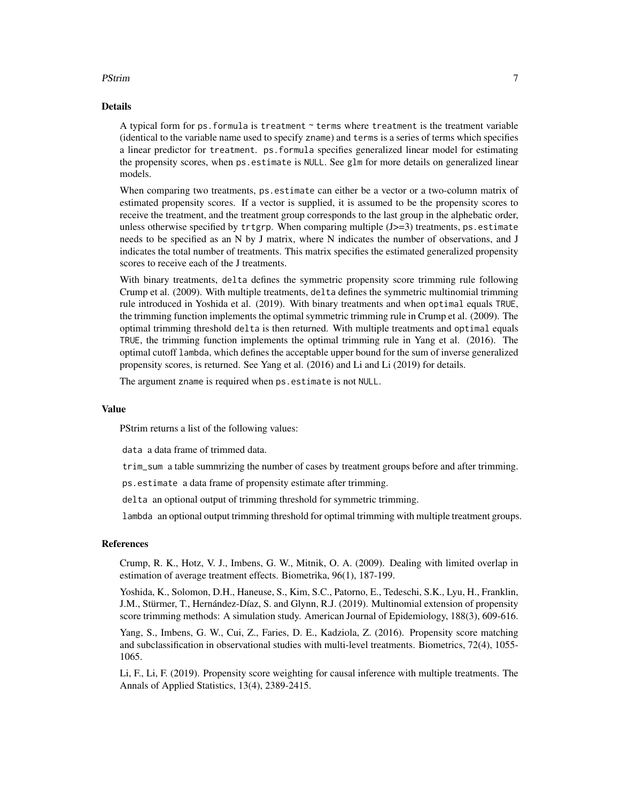#### PStrim 2008 and 2008 and 2008 and 2008 and 2008 and 2008 and 2008 and 2008 and 2008 and 2008 and 2008 and 2008

#### Details

A typical form for ps. formula is treatment  $\sim$  terms where treatment is the treatment variable (identical to the variable name used to specify zname) and terms is a series of terms which specifies a linear predictor for treatment. ps.formula specifies generalized linear model for estimating the propensity scores, when ps.estimate is NULL. See glm for more details on generalized linear models.

When comparing two treatments, ps.estimate can either be a vector or a two-column matrix of estimated propensity scores. If a vector is supplied, it is assumed to be the propensity scores to receive the treatment, and the treatment group corresponds to the last group in the alphebatic order, unless otherwise specified by trtgrp. When comparing multiple  $(J>=3)$  treatments, ps. estimate needs to be specified as an N by J matrix, where N indicates the number of observations, and J indicates the total number of treatments. This matrix specifies the estimated generalized propensity scores to receive each of the J treatments.

With binary treatments, delta defines the symmetric propensity score trimming rule following Crump et al. (2009). With multiple treatments, delta defines the symmetric multinomial trimming rule introduced in Yoshida et al. (2019). With binary treatments and when optimal equals TRUE, the trimming function implements the optimal symmetric trimming rule in Crump et al. (2009). The optimal trimming threshold delta is then returned. With multiple treatments and optimal equals TRUE, the trimming function implements the optimal trimming rule in Yang et al. (2016). The optimal cutoff lambda, which defines the acceptable upper bound for the sum of inverse generalized propensity scores, is returned. See Yang et al. (2016) and Li and Li (2019) for details.

The argument zname is required when ps.estimate is not NULL.

#### Value

PStrim returns a list of the following values:

data a data frame of trimmed data.

trim\_sum a table summrizing the number of cases by treatment groups before and after trimming.

ps.estimate a data frame of propensity estimate after trimming.

delta an optional output of trimming threshold for symmetric trimming.

lambda an optional output trimming threshold for optimal trimming with multiple treatment groups.

#### References

Crump, R. K., Hotz, V. J., Imbens, G. W., Mitnik, O. A. (2009). Dealing with limited overlap in estimation of average treatment effects. Biometrika, 96(1), 187-199.

Yoshida, K., Solomon, D.H., Haneuse, S., Kim, S.C., Patorno, E., Tedeschi, S.K., Lyu, H., Franklin, J.M., Stürmer, T., Hernández-Díaz, S. and Glynn, R.J. (2019). Multinomial extension of propensity score trimming methods: A simulation study. American Journal of Epidemiology, 188(3), 609-616.

Yang, S., Imbens, G. W., Cui, Z., Faries, D. E., Kadziola, Z. (2016). Propensity score matching and subclassification in observational studies with multi-level treatments. Biometrics, 72(4), 1055- 1065.

Li, F., Li, F. (2019). Propensity score weighting for causal inference with multiple treatments. The Annals of Applied Statistics, 13(4), 2389-2415.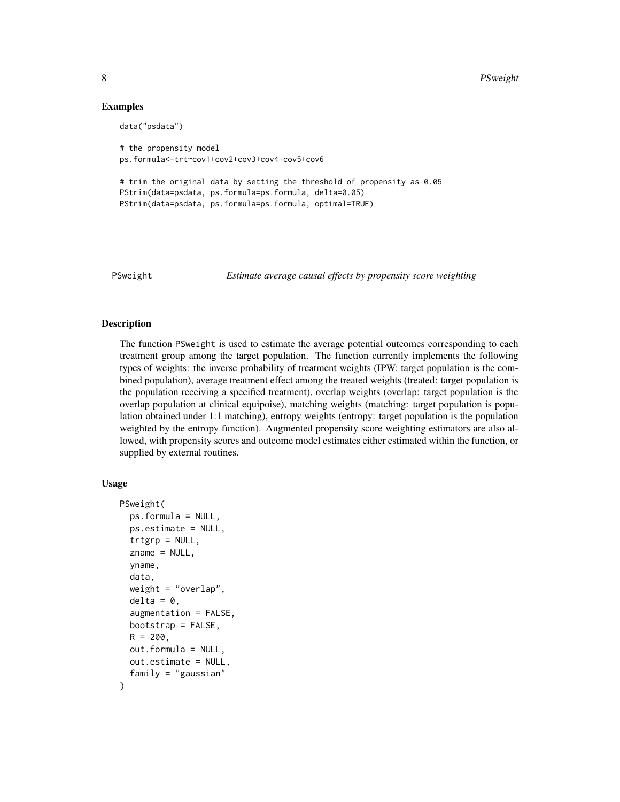#### Examples

```
data("psdata")
# the propensity model
ps.formula<-trt~cov1+cov2+cov3+cov4+cov5+cov6
# trim the original data by setting the threshold of propensity as 0.05
PStrim(data=psdata, ps.formula=ps.formula, delta=0.05)
PStrim(data=psdata, ps.formula=ps.formula, optimal=TRUE)
```
<span id="page-7-1"></span>PSweight *Estimate average causal effects by propensity score weighting*

#### Description

The function PSweight is used to estimate the average potential outcomes corresponding to each treatment group among the target population. The function currently implements the following types of weights: the inverse probability of treatment weights (IPW: target population is the combined population), average treatment effect among the treated weights (treated: target population is the population receiving a specified treatment), overlap weights (overlap: target population is the overlap population at clinical equipoise), matching weights (matching: target population is population obtained under 1:1 matching), entropy weights (entropy: target population is the population weighted by the entropy function). Augmented propensity score weighting estimators are also allowed, with propensity scores and outcome model estimates either estimated within the function, or supplied by external routines.

#### Usage

```
PSweight(
  ps.formula = NULL,
  ps.estimate = NULL,
  trtgrp = NULL,zname = NULL,
  yname,
  data,
  weight = "overlap",
  delta = 0,
  augmentation = FALSE,
  bootstrap = FALSE,
  R = 200.
  out.formula = NULL,
  out.estimate = NULL,
  family = "gaussian"
)
```
<span id="page-7-0"></span>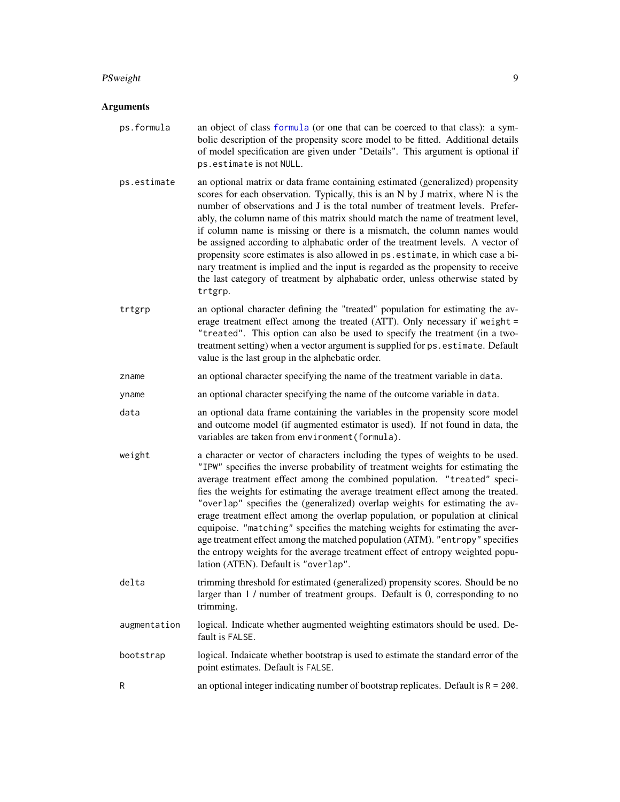#### <span id="page-8-0"></span>PSweight 99 and 2012 12:00 percent of the set of the set of the set of the set of the set of the set of the set of the set of the set of the set of the set of the set of the set of the set of the set of the set of the set

- ps.formula an object of class [formula](#page-0-0) (or one that can be coerced to that class): a symbolic description of the propensity score model to be fitted. Additional details of model specification are given under "Details". This argument is optional if ps.estimate is not NULL.
- ps.estimate an optional matrix or data frame containing estimated (generalized) propensity scores for each observation. Typically, this is an N by J matrix, where N is the number of observations and J is the total number of treatment levels. Preferably, the column name of this matrix should match the name of treatment level, if column name is missing or there is a mismatch, the column names would be assigned according to alphabatic order of the treatment levels. A vector of propensity score estimates is also allowed in ps.estimate, in which case a binary treatment is implied and the input is regarded as the propensity to receive the last category of treatment by alphabatic order, unless otherwise stated by trtgrp.
- trtgrp an optional character defining the "treated" population for estimating the average treatment effect among the treated (ATT). Only necessary if weight = "treated". This option can also be used to specify the treatment (in a twotreatment setting) when a vector argument is supplied for ps. estimate. Default value is the last group in the alphebatic order.
- zname an optional character specifying the name of the treatment variable in data.
- yname an optional character specifying the name of the outcome variable in data.
- data an optional data frame containing the variables in the propensity score model and outcome model (if augmented estimator is used). If not found in data, the variables are taken from environment(formula).
- weight a character or vector of characters including the types of weights to be used. "IPW" specifies the inverse probability of treatment weights for estimating the average treatment effect among the combined population. "treated" specifies the weights for estimating the average treatment effect among the treated. "overlap" specifies the (generalized) overlap weights for estimating the average treatment effect among the overlap population, or population at clinical equipoise. "matching" specifies the matching weights for estimating the average treatment effect among the matched population (ATM). "entropy" specifies the entropy weights for the average treatment effect of entropy weighted population (ATEN). Default is "overlap".
- delta trimming threshold for estimated (generalized) propensity scores. Should be no larger than 1 / number of treatment groups. Default is 0, corresponding to no trimming.
- augmentation logical. Indicate whether augmented weighting estimators should be used. Default is FALSE.
- bootstrap logical. Indaicate whether bootstrap is used to estimate the standard error of the point estimates. Default is FALSE.
- R an optional integer indicating number of bootstrap replicates. Default is R = 200.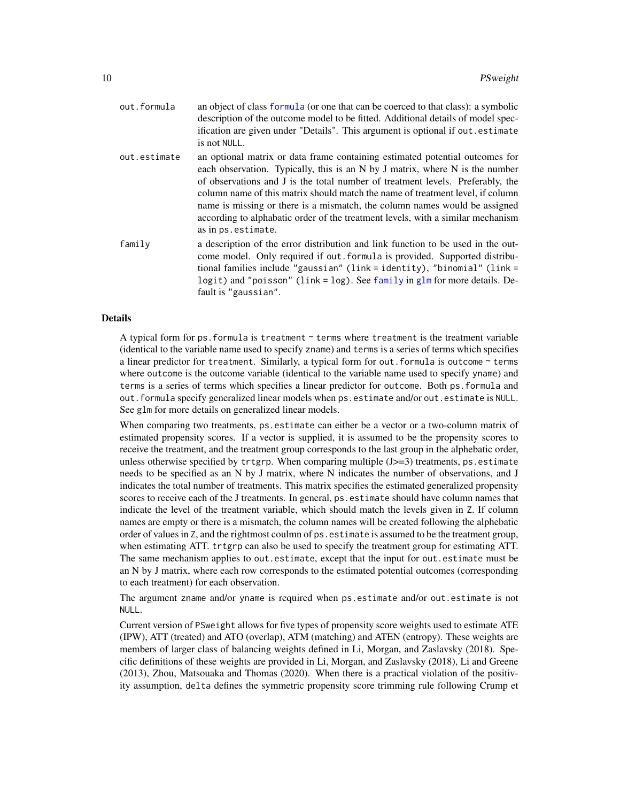<span id="page-9-0"></span>

| out.formula  | an object of class formula (or one that can be coerced to that class): a symbolic<br>description of the outcome model to be fitted. Additional details of model spec-<br>ification are given under "Details". This argument is optional if out estimate<br>is not NULL.                                                                                                                                                                                                                                                 |
|--------------|-------------------------------------------------------------------------------------------------------------------------------------------------------------------------------------------------------------------------------------------------------------------------------------------------------------------------------------------------------------------------------------------------------------------------------------------------------------------------------------------------------------------------|
| out.estimate | an optional matrix or data frame containing estimated potential outcomes for<br>each observation. Typically, this is an N by J matrix, where N is the number<br>of observations and J is the total number of treatment levels. Preferably, the<br>column name of this matrix should match the name of treatment level, if column<br>name is missing or there is a mismatch, the column names would be assigned<br>according to alphabatic order of the treatment levels, with a similar mechanism<br>as in ps.estimate. |
| family       | a description of the error distribution and link function to be used in the out-<br>come model. Only required if out formula is provided. Supported distribu-<br>tional families include "gaussian" (link = identity), "binomial" (link =<br>logit) and "poisson" (link = $log$ ). See family in glm for more details. De-<br>fault is "gaussian".                                                                                                                                                                      |

#### Details

A typical form for ps. formula is treatment  $\sim$  terms where treatment is the treatment variable (identical to the variable name used to specify zname) and terms is a series of terms which specifies a linear predictor for treatment. Similarly, a typical form for out. formula is outcome  $\sim$  terms where outcome is the outcome variable (identical to the variable name used to specify yname) and terms is a series of terms which specifies a linear predictor for outcome. Both ps.formula and out.formula specify generalized linear models when ps.estimate and/or out.estimate is NULL. See glm for more details on generalized linear models.

When comparing two treatments, ps.estimate can either be a vector or a two-column matrix of estimated propensity scores. If a vector is supplied, it is assumed to be the propensity scores to receive the treatment, and the treatment group corresponds to the last group in the alphebatic order, unless otherwise specified by  $trtgrp$ . When comparing multiple  $(J>=3)$  treatments, ps.estimate needs to be specified as an N by J matrix, where N indicates the number of observations, and J indicates the total number of treatments. This matrix specifies the estimated generalized propensity scores to receive each of the J treatments. In general, ps. estimate should have column names that indicate the level of the treatment variable, which should match the levels given in Z. If column names are empty or there is a mismatch, the column names will be created following the alphebatic order of values in Z, and the rightmost coulmn of ps.estimate is assumed to be the treatment group, when estimating ATT. trtgrp can also be used to specify the treatment group for estimating ATT. The same mechanism applies to out.estimate, except that the input for out.estimate must be an N by J matrix, where each row corresponds to the estimated potential outcomes (corresponding to each treatment) for each observation.

The argument zname and/or yname is required when ps.estimate and/or out.estimate is not NULL.

Current version of PSweight allows for five types of propensity score weights used to estimate ATE (IPW), ATT (treated) and ATO (overlap), ATM (matching) and ATEN (entropy). These weights are members of larger class of balancing weights defined in Li, Morgan, and Zaslavsky (2018). Specific definitions of these weights are provided in Li, Morgan, and Zaslavsky (2018), Li and Greene (2013), Zhou, Matsouaka and Thomas (2020). When there is a practical violation of the positivity assumption, delta defines the symmetric propensity score trimming rule following Crump et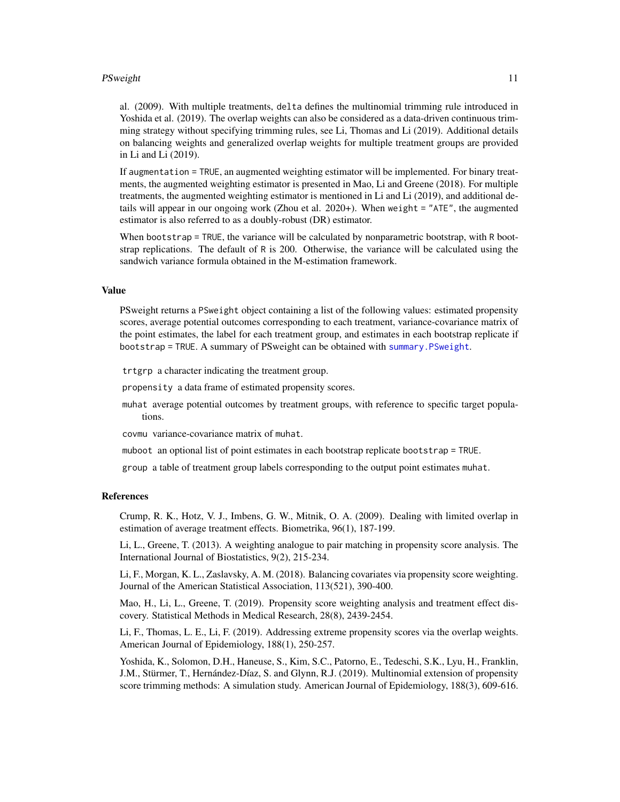#### <span id="page-10-0"></span>PSweight 11

al. (2009). With multiple treatments, delta defines the multinomial trimming rule introduced in Yoshida et al. (2019). The overlap weights can also be considered as a data-driven continuous trimming strategy without specifying trimming rules, see Li, Thomas and Li (2019). Additional details on balancing weights and generalized overlap weights for multiple treatment groups are provided in Li and Li (2019).

If augmentation = TRUE, an augmented weighting estimator will be implemented. For binary treatments, the augmented weighting estimator is presented in Mao, Li and Greene (2018). For multiple treatments, the augmented weighting estimator is mentioned in Li and Li (2019), and additional details will appear in our ongoing work (Zhou et al. 2020+). When weight = "ATE", the augmented estimator is also referred to as a doubly-robust (DR) estimator.

When bootstrap = TRUE, the variance will be calculated by nonparametric bootstrap, with R bootstrap replications. The default of R is 200. Otherwise, the variance will be calculated using the sandwich variance formula obtained in the M-estimation framework.

#### Value

PSweight returns a PSweight object containing a list of the following values: estimated propensity scores, average potential outcomes corresponding to each treatment, variance-covariance matrix of the point estimates, the label for each treatment group, and estimates in each bootstrap replicate if bootstrap = TRUE. A summary of PSweight can be obtained with [summary.PSweight](#page-11-1).

trtgrp a character indicating the treatment group.

propensity a data frame of estimated propensity scores.

muhat average potential outcomes by treatment groups, with reference to specific target populations.

covmu variance-covariance matrix of muhat.

muboot an optional list of point estimates in each bootstrap replicate bootstrap = TRUE.

group a table of treatment group labels corresponding to the output point estimates muhat.

#### References

Crump, R. K., Hotz, V. J., Imbens, G. W., Mitnik, O. A. (2009). Dealing with limited overlap in estimation of average treatment effects. Biometrika, 96(1), 187-199.

Li, L., Greene, T. (2013). A weighting analogue to pair matching in propensity score analysis. The International Journal of Biostatistics, 9(2), 215-234.

Li, F., Morgan, K. L., Zaslavsky, A. M. (2018). Balancing covariates via propensity score weighting. Journal of the American Statistical Association, 113(521), 390-400.

Mao, H., Li, L., Greene, T. (2019). Propensity score weighting analysis and treatment effect discovery. Statistical Methods in Medical Research, 28(8), 2439-2454.

Li, F., Thomas, L. E., Li, F. (2019). Addressing extreme propensity scores via the overlap weights. American Journal of Epidemiology, 188(1), 250-257.

Yoshida, K., Solomon, D.H., Haneuse, S., Kim, S.C., Patorno, E., Tedeschi, S.K., Lyu, H., Franklin, J.M., Stürmer, T., Hernández-Díaz, S. and Glynn, R.J. (2019). Multinomial extension of propensity score trimming methods: A simulation study. American Journal of Epidemiology, 188(3), 609-616.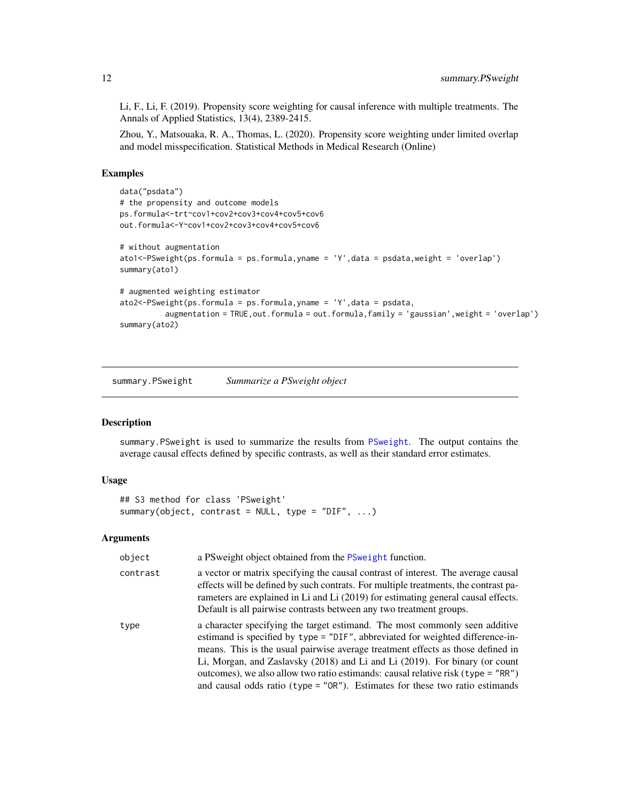Li, F., Li, F. (2019). Propensity score weighting for causal inference with multiple treatments. The Annals of Applied Statistics, 13(4), 2389-2415.

Zhou, Y., Matsouaka, R. A., Thomas, L. (2020). Propensity score weighting under limited overlap and model misspecification. Statistical Methods in Medical Research (Online)

#### Examples

```
data("psdata")
# the propensity and outcome models
ps.formula<-trt~cov1+cov2+cov3+cov4+cov5+cov6
out.formula<-Y~cov1+cov2+cov3+cov4+cov5+cov6
# without augmentation
ato1<-PSweight(ps.formula = ps.formula,yname = 'Y',data = psdata,weight = 'overlap')
summary(ato1)
# augmented weighting estimator
ato2<-PSweight(ps.formula = ps.formula,yname = 'Y',data = psdata,
          augmentation = TRUE,out.formula = out.formula,family = 'gaussian',weight = 'overlap')
summary(ato2)
```
<span id="page-11-1"></span>summary.PSweight *Summarize a PSweight object*

#### Description

summary.PSweight is used to summarize the results from [PSweight](#page-7-1). The output contains the average causal effects defined by specific contrasts, as well as their standard error estimates.

#### Usage

```
## S3 method for class 'PSweight'
summary(object, contrast = NULL, type = "DIF", ...)
```

| object   | a PS weight object obtained from the PS weight function.                                                                                                                                                                                                                                                                                                                                                                                                                                               |
|----------|--------------------------------------------------------------------------------------------------------------------------------------------------------------------------------------------------------------------------------------------------------------------------------------------------------------------------------------------------------------------------------------------------------------------------------------------------------------------------------------------------------|
| contrast | a vector or matrix specifying the causal contrast of interest. The average causal<br>effects will be defined by such contrats. For multiple treatments, the contrast pa-<br>rameters are explained in Li and Li (2019) for estimating general causal effects.<br>Default is all pairwise contrasts between any two treatment groups.                                                                                                                                                                   |
| type     | a character specifying the target estimand. The most commonly seen additive<br>estimand is specified by type = "DIF", abbreviated for weighted difference-in-<br>means. This is the usual pairwise average treatment effects as those defined in<br>Li, Morgan, and Zaslavsky (2018) and Li and Li (2019). For binary (or count<br>outcomes), we also allow two ratio estimands: causal relative risk (type = "RR")<br>and causal odds ratio (type = $"OR"$ ). Estimates for these two ratio estimands |

<span id="page-11-0"></span>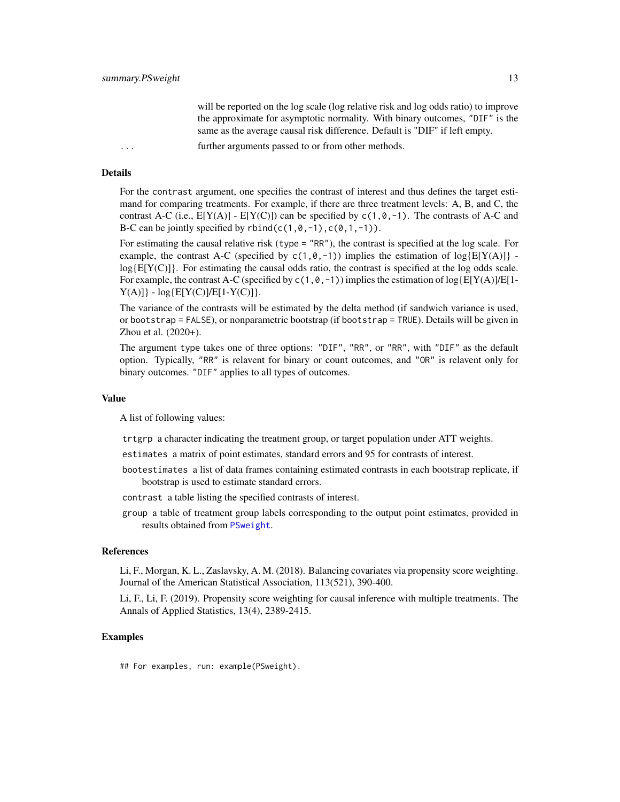will be reported on the log scale (log relative risk and log odds ratio) to improve the approximate for asymptotic normality. With binary outcomes, "DIF" is the same as the average causal risk difference. Default is "DIF" if left empty.

<span id="page-12-0"></span>... further arguments passed to or from other methods.

#### Details

For the contrast argument, one specifies the contrast of interest and thus defines the target estimand for comparing treatments. For example, if there are three treatment levels: A, B, and C, the contrast A-C (i.e.,  $E[Y(A)] - E[Y(C)]$ ) can be specified by  $c(1, 0, -1)$ . The contrasts of A-C and B-C can be jointly specified by  $rbind(c(1, 0, -1), c(0, 1, -1))$ .

For estimating the causal relative risk (type = "RR"), the contrast is specified at the log scale. For example, the contrast A-C (specified by  $c(1,0,-1)$ ) implies the estimation of  $log{E[Y(A)]}$   $log{E[Y(C)]}$ . For estimating the causal odds ratio, the contrast is specified at the log odds scale. For example, the contrast A-C (specified by  $c(1,0,-1)$ ) implies the estimation of  $log{E[Y(A)]/E[1-A]}$  $Y(A)]$  -  $log{E[Y(C)]/E[1-Y(C)]}$ .

The variance of the contrasts will be estimated by the delta method (if sandwich variance is used, or bootstrap = FALSE), or nonparametric bootstrap (if bootstrap = TRUE). Details will be given in Zhou et al. (2020+).

The argument type takes one of three options: "DIF", "RR", or "RR", with "DIF" as the default option. Typically, "RR" is relavent for binary or count outcomes, and "OR" is relavent only for binary outcomes. "DIF" applies to all types of outcomes.

#### Value

A list of following values:

- trtgrp a character indicating the treatment group, or target population under ATT weights.
- estimates a matrix of point estimates, standard errors and 95 for contrasts of interest.
- bootestimates a list of data frames containing estimated contrasts in each bootstrap replicate, if bootstrap is used to estimate standard errors.
- contrast a table listing the specified contrasts of interest.
- group a table of treatment group labels corresponding to the output point estimates, provided in results obtained from [PSweight](#page-7-1).

#### References

Li, F., Morgan, K. L., Zaslavsky, A. M. (2018). Balancing covariates via propensity score weighting. Journal of the American Statistical Association, 113(521), 390-400.

Li, F., Li, F. (2019). Propensity score weighting for causal inference with multiple treatments. The Annals of Applied Statistics, 13(4), 2389-2415.

#### Examples

## For examples, run: example(PSweight).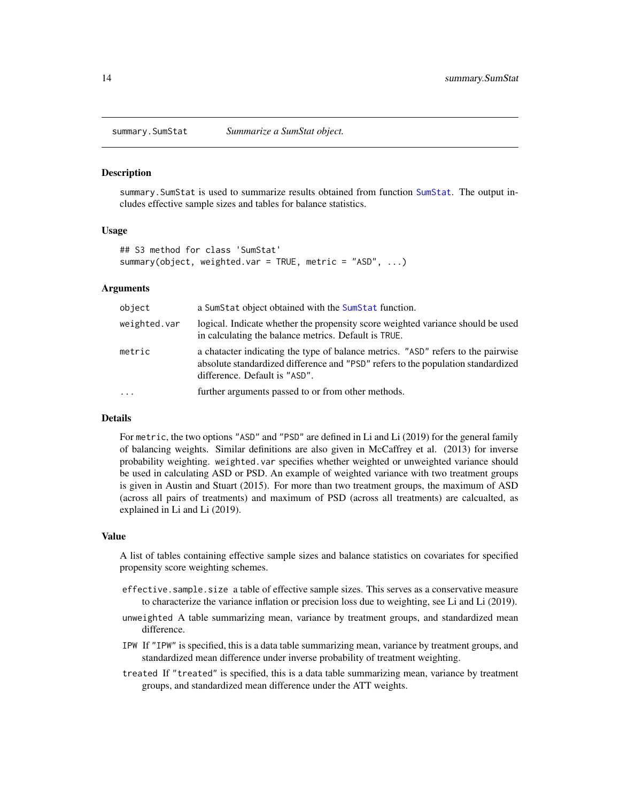<span id="page-13-1"></span><span id="page-13-0"></span>

#### Description

summary.SumStat is used to summarize results obtained from function [SumStat](#page-14-1). The output includes effective sample sizes and tables for balance statistics.

#### Usage

```
## S3 method for class 'SumStat'
summary(object, weighted.var = TRUE, metric = "ASD", ...)
```
#### Arguments

| object       | a Sum Stat object obtained with the Sum Stat function.                                                                                                                                                |
|--------------|-------------------------------------------------------------------------------------------------------------------------------------------------------------------------------------------------------|
| weighted.var | logical. Indicate whether the propensity score weighted variance should be used<br>in calculating the balance metrics. Default is TRUE.                                                               |
| metric       | a character indicating the type of balance metrics. "ASD" refers to the pairwise<br>absolute standardized difference and "PSD" refers to the population standardized<br>difference. Default is "ASD". |
| $\cdots$     | further arguments passed to or from other methods.                                                                                                                                                    |
|              |                                                                                                                                                                                                       |

#### Details

For metric, the two options "ASD" and "PSD" are defined in Li and Li (2019) for the general family of balancing weights. Similar definitions are also given in McCaffrey et al. (2013) for inverse probability weighting. weighted.var specifies whether weighted or unweighted variance should be used in calculating ASD or PSD. An example of weighted variance with two treatment groups is given in Austin and Stuart (2015). For more than two treatment groups, the maximum of ASD (across all pairs of treatments) and maximum of PSD (across all treatments) are calcualted, as explained in Li and Li (2019).

#### Value

A list of tables containing effective sample sizes and balance statistics on covariates for specified propensity score weighting schemes.

- effective.sample.size a table of effective sample sizes. This serves as a conservative measure to characterize the variance inflation or precision loss due to weighting, see Li and Li (2019).
- unweighted A table summarizing mean, variance by treatment groups, and standardized mean difference.
- IPW If "IPW" is specified, this is a data table summarizing mean, variance by treatment groups, and standardized mean difference under inverse probability of treatment weighting.
- treated If "treated" is specified, this is a data table summarizing mean, variance by treatment groups, and standardized mean difference under the ATT weights.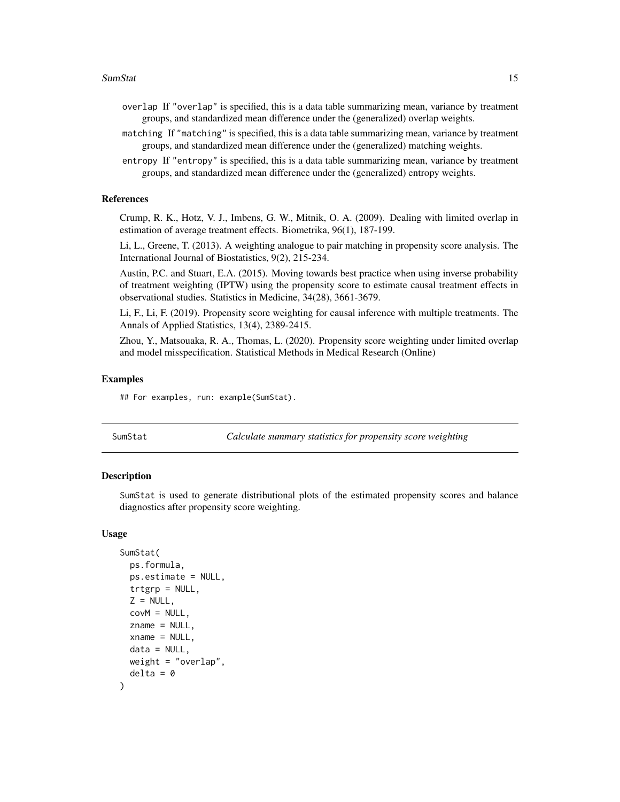- <span id="page-14-0"></span>overlap If "overlap" is specified, this is a data table summarizing mean, variance by treatment groups, and standardized mean difference under the (generalized) overlap weights.
- matching If "matching" is specified, this is a data table summarizing mean, variance by treatment groups, and standardized mean difference under the (generalized) matching weights.
- entropy If "entropy" is specified, this is a data table summarizing mean, variance by treatment groups, and standardized mean difference under the (generalized) entropy weights.

#### **References**

Crump, R. K., Hotz, V. J., Imbens, G. W., Mitnik, O. A. (2009). Dealing with limited overlap in estimation of average treatment effects. Biometrika, 96(1), 187-199.

Li, L., Greene, T. (2013). A weighting analogue to pair matching in propensity score analysis. The International Journal of Biostatistics, 9(2), 215-234.

Austin, P.C. and Stuart, E.A. (2015). Moving towards best practice when using inverse probability of treatment weighting (IPTW) using the propensity score to estimate causal treatment effects in observational studies. Statistics in Medicine, 34(28), 3661-3679.

Li, F., Li, F. (2019). Propensity score weighting for causal inference with multiple treatments. The Annals of Applied Statistics, 13(4), 2389-2415.

Zhou, Y., Matsouaka, R. A., Thomas, L. (2020). Propensity score weighting under limited overlap and model misspecification. Statistical Methods in Medical Research (Online)

#### Examples

## For examples, run: example(SumStat).

<span id="page-14-1"></span>SumStat *Calculate summary statistics for propensity score weighting*

#### **Description**

SumStat is used to generate distributional plots of the estimated propensity scores and balance diagnostics after propensity score weighting.

#### Usage

```
SumStat(
 ps.formula,
  ps.estimate = NULL,
  trtgrp = NULL,Z = NULL,covM = NULL,zname = NULL,
  xname = NULL,
  data = NULL,
 weight = "overlap",
  delta = 0)
```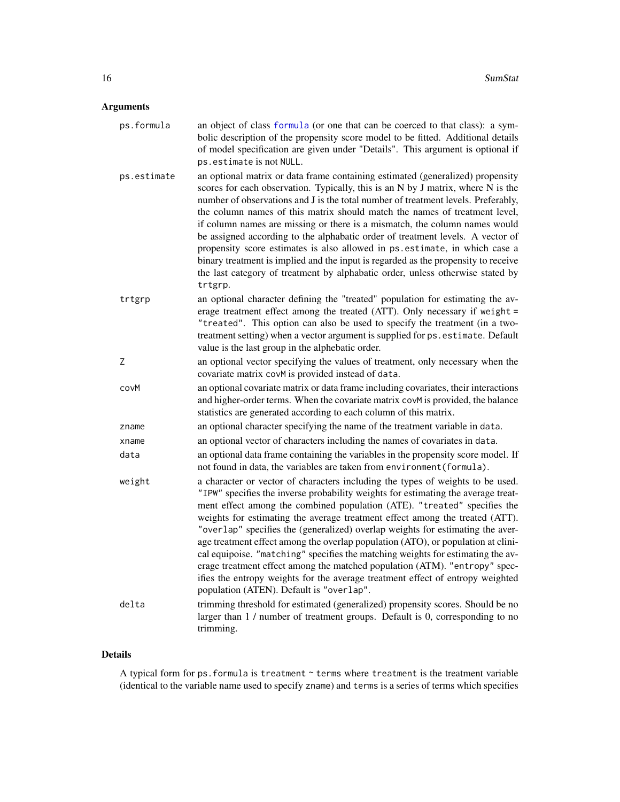#### <span id="page-15-0"></span>Arguments

| ps.formula  | an object of class formula (or one that can be coerced to that class): a sym-<br>bolic description of the propensity score model to be fitted. Additional details<br>of model specification are given under "Details". This argument is optional if<br>ps.estimate is not NULL.                                                                                                                                                                                                                                                                                                                                                                                                                                                                                                                      |
|-------------|------------------------------------------------------------------------------------------------------------------------------------------------------------------------------------------------------------------------------------------------------------------------------------------------------------------------------------------------------------------------------------------------------------------------------------------------------------------------------------------------------------------------------------------------------------------------------------------------------------------------------------------------------------------------------------------------------------------------------------------------------------------------------------------------------|
| ps.estimate | an optional matrix or data frame containing estimated (generalized) propensity<br>scores for each observation. Typically, this is an N by J matrix, where N is the<br>number of observations and J is the total number of treatment levels. Preferably,<br>the column names of this matrix should match the names of treatment level,<br>if column names are missing or there is a mismatch, the column names would<br>be assigned according to the alphabatic order of treatment levels. A vector of<br>propensity score estimates is also allowed in ps. estimate, in which case a<br>binary treatment is implied and the input is regarded as the propensity to receive<br>the last category of treatment by alphabatic order, unless otherwise stated by<br>trtgrp.                              |
| trtgrp      | an optional character defining the "treated" population for estimating the av-<br>erage treatment effect among the treated (ATT). Only necessary if weight =<br>"treated". This option can also be used to specify the treatment (in a two-<br>treatment setting) when a vector argument is supplied for ps. estimate. Default<br>value is the last group in the alphebatic order.                                                                                                                                                                                                                                                                                                                                                                                                                   |
| Ζ           | an optional vector specifying the values of treatment, only necessary when the<br>covariate matrix covM is provided instead of data.                                                                                                                                                                                                                                                                                                                                                                                                                                                                                                                                                                                                                                                                 |
| covM        | an optional covariate matrix or data frame including covariates, their interactions<br>and higher-order terms. When the covariate matrix covM is provided, the balance<br>statistics are generated according to each column of this matrix.                                                                                                                                                                                                                                                                                                                                                                                                                                                                                                                                                          |
| zname       | an optional character specifying the name of the treatment variable in data.                                                                                                                                                                                                                                                                                                                                                                                                                                                                                                                                                                                                                                                                                                                         |
| xname       | an optional vector of characters including the names of covariates in data.                                                                                                                                                                                                                                                                                                                                                                                                                                                                                                                                                                                                                                                                                                                          |
| data        | an optional data frame containing the variables in the propensity score model. If<br>not found in data, the variables are taken from environment (formula).                                                                                                                                                                                                                                                                                                                                                                                                                                                                                                                                                                                                                                          |
| weight      | a character or vector of characters including the types of weights to be used.<br>"IPW" specifies the inverse probability weights for estimating the average treat-<br>ment effect among the combined population (ATE). "treated" specifies the<br>weights for estimating the average treatment effect among the treated (ATT).<br>"overlap" specifies the (generalized) overlap weights for estimating the aver-<br>age treatment effect among the overlap population (ATO), or population at clini-<br>cal equipoise. "matching" specifies the matching weights for estimating the av-<br>erage treatment effect among the matched population (ATM). "entropy" spec-<br>ifies the entropy weights for the average treatment effect of entropy weighted<br>population (ATEN). Default is "overlap". |
| delta       | trimming threshold for estimated (generalized) propensity scores. Should be no<br>larger than 1 / number of treatment groups. Default is 0, corresponding to no<br>trimming.                                                                                                                                                                                                                                                                                                                                                                                                                                                                                                                                                                                                                         |

#### Details

A typical form for ps.formula is treatment ~ terms where treatment is the treatment variable (identical to the variable name used to specify zname) and terms is a series of terms which specifies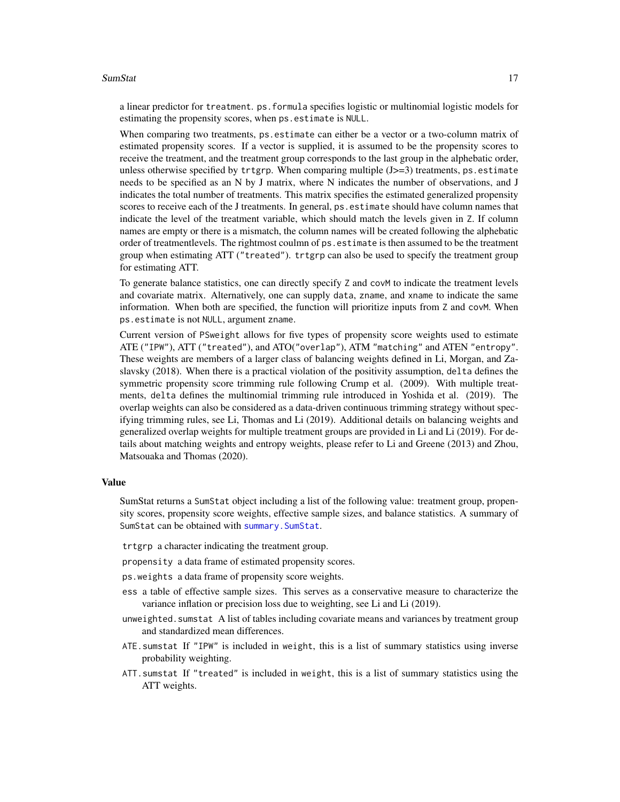#### <span id="page-16-0"></span>SumStat 17

a linear predictor for treatment. ps.formula specifies logistic or multinomial logistic models for estimating the propensity scores, when ps.estimate is NULL.

When comparing two treatments, ps.estimate can either be a vector or a two-column matrix of estimated propensity scores. If a vector is supplied, it is assumed to be the propensity scores to receive the treatment, and the treatment group corresponds to the last group in the alphebatic order, unless otherwise specified by trtgrp. When comparing multiple  $(J>=3)$  treatments, ps. estimate needs to be specified as an N by J matrix, where N indicates the number of observations, and J indicates the total number of treatments. This matrix specifies the estimated generalized propensity scores to receive each of the J treatments. In general, ps.estimate should have column names that indicate the level of the treatment variable, which should match the levels given in Z. If column names are empty or there is a mismatch, the column names will be created following the alphebatic order of treatmentlevels. The rightmost coulmn of ps.estimate is then assumed to be the treatment group when estimating ATT ("treated"). trtgrp can also be used to specify the treatment group for estimating ATT.

To generate balance statistics, one can directly specify Z and covM to indicate the treatment levels and covariate matrix. Alternatively, one can supply data, zname, and xname to indicate the same information. When both are specified, the function will prioritize inputs from Z and covM. When ps.estimate is not NULL, argument zname.

Current version of PSweight allows for five types of propensity score weights used to estimate ATE ("IPW"), ATT ("treated"), and ATO("overlap"), ATM "matching" and ATEN "entropy". These weights are members of a larger class of balancing weights defined in Li, Morgan, and Zaslavsky (2018). When there is a practical violation of the positivity assumption, delta defines the symmetric propensity score trimming rule following Crump et al. (2009). With multiple treatments, delta defines the multinomial trimming rule introduced in Yoshida et al. (2019). The overlap weights can also be considered as a data-driven continuous trimming strategy without specifying trimming rules, see Li, Thomas and Li (2019). Additional details on balancing weights and generalized overlap weights for multiple treatment groups are provided in Li and Li (2019). For details about matching weights and entropy weights, please refer to Li and Greene (2013) and Zhou, Matsouaka and Thomas (2020).

#### Value

SumStat returns a SumStat object including a list of the following value: treatment group, propensity scores, propensity score weights, effective sample sizes, and balance statistics. A summary of SumStat can be obtained with summary. SumStat.

trtgrp a character indicating the treatment group.

propensity a data frame of estimated propensity scores.

- ps.weights a data frame of propensity score weights.
- ess a table of effective sample sizes. This serves as a conservative measure to characterize the variance inflation or precision loss due to weighting, see Li and Li (2019).
- unweighted.sumstat A list of tables including covariate means and variances by treatment group and standardized mean differences.
- ATE.sumstat If "IPW" is included in weight, this is a list of summary statistics using inverse probability weighting.
- ATT.sumstat If "treated" is included in weight, this is a list of summary statistics using the ATT weights.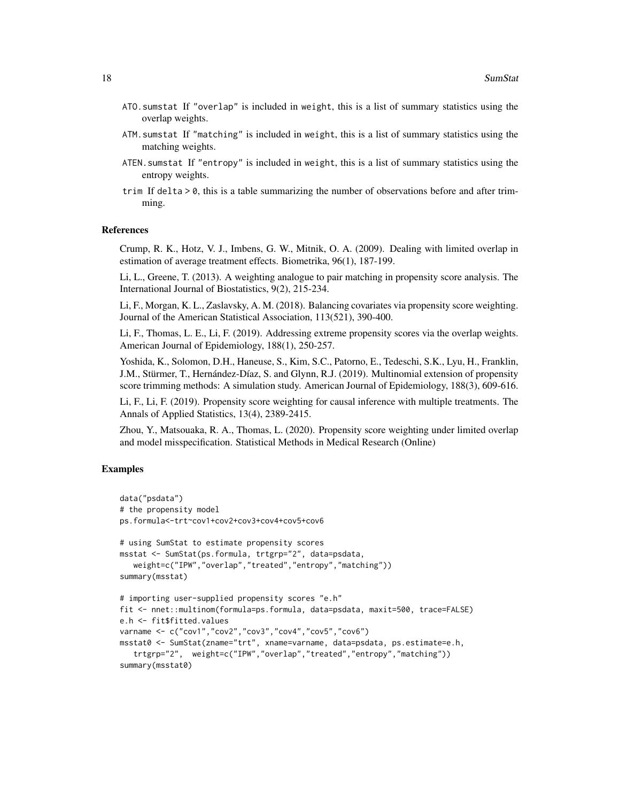- ATO.sumstat If "overlap" is included in weight, this is a list of summary statistics using the overlap weights.
- ATM.sumstat If "matching" is included in weight, this is a list of summary statistics using the matching weights.
- ATEN.sumstat If "entropy" is included in weight, this is a list of summary statistics using the entropy weights.
- trim If delta > 0, this is a table summarizing the number of observations before and after trimming.

#### References

Crump, R. K., Hotz, V. J., Imbens, G. W., Mitnik, O. A. (2009). Dealing with limited overlap in estimation of average treatment effects. Biometrika, 96(1), 187-199.

Li, L., Greene, T. (2013). A weighting analogue to pair matching in propensity score analysis. The International Journal of Biostatistics, 9(2), 215-234.

Li, F., Morgan, K. L., Zaslavsky, A. M. (2018). Balancing covariates via propensity score weighting. Journal of the American Statistical Association, 113(521), 390-400.

Li, F., Thomas, L. E., Li, F. (2019). Addressing extreme propensity scores via the overlap weights. American Journal of Epidemiology, 188(1), 250-257.

Yoshida, K., Solomon, D.H., Haneuse, S., Kim, S.C., Patorno, E., Tedeschi, S.K., Lyu, H., Franklin, J.M., Stürmer, T., Hernández-Díaz, S. and Glynn, R.J. (2019). Multinomial extension of propensity score trimming methods: A simulation study. American Journal of Epidemiology, 188(3), 609-616.

Li, F., Li, F. (2019). Propensity score weighting for causal inference with multiple treatments. The Annals of Applied Statistics, 13(4), 2389-2415.

Zhou, Y., Matsouaka, R. A., Thomas, L. (2020). Propensity score weighting under limited overlap and model misspecification. Statistical Methods in Medical Research (Online)

#### Examples

```
data("psdata")
# the propensity model
ps.formula<-trt~cov1+cov2+cov3+cov4+cov5+cov6
# using SumStat to estimate propensity scores
msstat <- SumStat(ps.formula, trtgrp="2", data=psdata,
   weight=c("IPW","overlap","treated","entropy","matching"))
summary(msstat)
# importing user-supplied propensity scores "e.h"
fit <- nnet::multinom(formula=ps.formula, data=psdata, maxit=500, trace=FALSE)
e.h <- fit$fitted.values
varname <- c("cov1","cov2","cov3","cov4","cov5","cov6")
msstat0 <- SumStat(zname="trt", xname=varname, data=psdata, ps.estimate=e.h,
   trtgrp="2", weight=c("IPW","overlap","treated","entropy","matching"))
summary(msstat0)
```